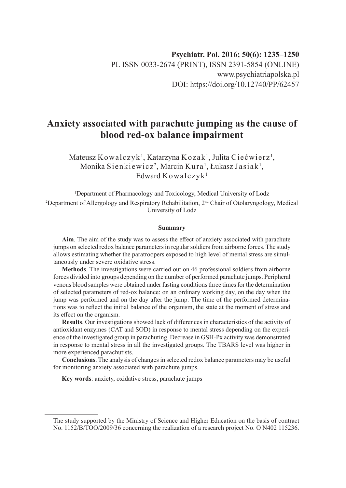# **Anxiety associated with parachute jumping as the cause of blood red-ox balance impairment**

Mateusz Kowalczyk $^{\rm l}$ , Katarzyna Kozak $^{\rm l}$ , Julita Ciećwierz $^{\rm l}$ , Monika Sienkiewicz<sup>2</sup>, Marcin Kura<sup>1</sup>, Łukasz Jasiak<sup>1</sup>, Edward Kowalczyk<sup>1</sup>

<sup>1</sup>Department of Pharmacology and Toxicology, Medical University of Lodz <sup>2</sup>Department of Allergology and Respiratory Rehabilitation, 2<sup>nd</sup> Chair of Otolaryngology, Medical University of Lodz

#### **Summary**

**Aim**. The aim of the study was to assess the effect of anxiety associated with parachute jumps on selected redox balance parameters in regular soldiers from airborne forces. The study allows estimating whether the paratroopers exposed to high level of mental stress are simultaneously under severe oxidative stress.

**Methods**. The investigations were carried out on 46 professional soldiers from airborne forces divided into groups depending on the number of performed parachute jumps. Peripheral venous blood samples were obtained under fasting conditions three times for the determination of selected parameters of red-ox balance: on an ordinary working day, on the day when the jump was performed and on the day after the jump. The time of the performed determinations was to reflect the initial balance of the organism, the state at the moment of stress and its effect on the organism.

**Results**. Our investigations showed lack of differences in characteristics of the activity of antioxidant enzymes (CAT and SOD) in response to mental stress depending on the experience of the investigated group in parachuting. Decrease in GSH-Px activity was demonstrated in response to mental stress in all the investigated groups. The TBARS level was higher in more experienced parachutists.

**Conclusions**. The analysis of changes in selected redox balance parameters may be useful for monitoring anxiety associated with parachute jumps.

**Key words**: anxiety, oxidative stress, parachute jumps

The study supported by the Ministry of Science and Higher Education on the basis of contract No. 1152/B/TOO/2009/36 concerning the realization of a research project No. O N402 115236.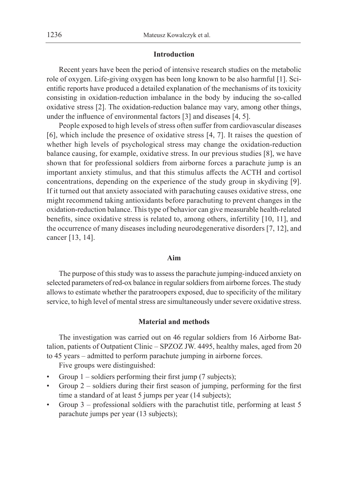#### **Introduction**

Recent years have been the period of intensive research studies on the metabolic role of oxygen. Life-giving oxygen has been long known to be also harmful [1]. Scientific reports have produced a detailed explanation of the mechanisms of its toxicity consisting in oxidation-reduction imbalance in the body by inducing the so-called oxidative stress [2]. The oxidation-reduction balance may vary, among other things, under the influence of environmental factors [3] and diseases [4, 5].

People exposed to high levels of stress often suffer from cardiovascular diseases [6], which include the presence of oxidative stress [4, 7]. It raises the question of whether high levels of psychological stress may change the oxidation-reduction balance causing, for example, oxidative stress. In our previous studies [8], we have shown that for professional soldiers from airborne forces a parachute jump is an important anxiety stimulus, and that this stimulus affects the ACTH and cortisol concentrations, depending on the experience of the study group in skydiving [9]. If it turned out that anxiety associated with parachuting causes oxidative stress, one might recommend taking antioxidants before parachuting to prevent changes in the oxidation-reduction balance. This type of behavior can give measurable health-related benefits, since oxidative stress is related to, among others, infertility [10, 11], and the occurrence of many diseases including neurodegenerative disorders [7, 12], and cancer [13, 14].

#### **Aim**

The purpose of this study was to assess the parachute jumping-induced anxiety on selected parameters of red-ox balance in regular soldiers from airborne forces. The study allows to estimate whether the paratroopers exposed, due to specificity of the military service, to high level of mental stress are simultaneously under severe oxidative stress.

#### **Material and methods**

The investigation was carried out on 46 regular soldiers from 16 Airborne Battalion, patients of Outpatient Clinic – SPZOZ JW. 4495, healthy males, aged from 20 to 45 years – admitted to perform parachute jumping in airborne forces.

Five groups were distinguished:

- Group  $1$  soldiers performing their first jump (7 subjects);
- Group  $2$  soldiers during their first season of jumping, performing for the first time a standard of at least 5 jumps per year (14 subjects);
- Group 3 professional soldiers with the parachutist title, performing at least 5 parachute jumps per year (13 subjects);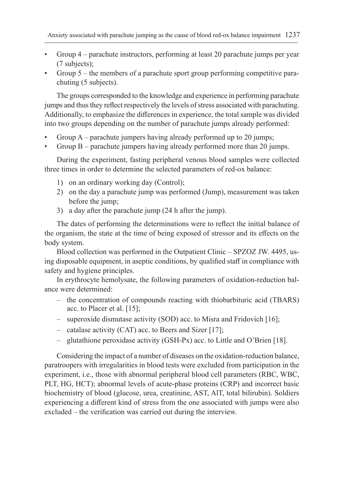- Group 4 parachute instructors, performing at least 20 parachute jumps per year (7 subjects);
- Group 5 the members of a parachute sport group performing competitive parachuting (5 subjects).

The groups corresponded to the knowledge and experience in performing parachute jumps and thus they reflect respectively the levels of stress associated with parachuting. Additionally, to emphasize the differences in experience, the total sample was divided into two groups depending on the number of parachute jumps already performed:

- Group A parachute jumpers having already performed up to 20 jumps;
- Group B parachute jumpers having already performed more than 20 jumps.

During the experiment, fasting peripheral venous blood samples were collected three times in order to determine the selected parameters of red-ox balance:

- 1) on an ordinary working day (Control);
- 2) on the day a parachute jump was performed (Jump), measurement was taken before the jump;
- 3) a day after the parachute jump (24 h after the jump).

The dates of performing the determinations were to reflect the initial balance of the organism, the state at the time of being exposed of stressor and its effects on the body system.

Blood collection was performed in the Outpatient Clinic – SPZOZ JW. 4495, using disposable equipment, in aseptic conditions, by qualified staff in compliance with safety and hygiene principles.

In erythrocyte hemolysate, the following parameters of oxidation-reduction balance were determined:

- the concentration of compounds reacting with thiobarbituric acid (TBARS) acc. to Placer et al. [15];
- superoxide dismutase activity (SOD) acc. to Misra and Fridovich [16];
- catalase activity (CAT) acc. to Beers and Sizer [17];
- glutathione peroxidase activity (GSH-Px) acc. to Little and O'Brien [18].

Considering the impact of a number of diseases on the oxidation-reduction balance, paratroopers with irregularities in blood tests were excluded from participation in the experiment, i.e., those with abnormal peripheral blood cell parameters (RBC, WBC, PLT, HG, HCT); abnormal levels of acute-phase proteins (CRP) and incorrect basic biochemistry of blood (glucose, urea, creatinine, AST, AlT, total bilirubin). Soldiers experiencing a different kind of stress from the one associated with jumps were also excluded – the verification was carried out during the interview.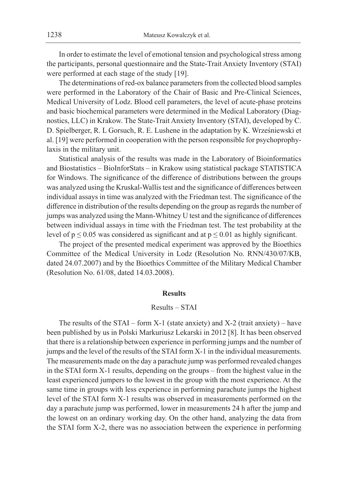In order to estimate the level of emotional tension and psychological stress among the participants, personal questionnaire and the State-Trait Anxiety Inventory (STAI) were performed at each stage of the study [19].

The determinations of red-ox balance parameters from the collected blood samples were performed in the Laboratory of the Chair of Basic and Pre-Clinical Sciences, Medical University of Lodz. Blood cell parameters, the level of acute-phase proteins and basic biochemical parameters were determined in the Medical Laboratory (Diagnostics, LLC) in Krakow. The State-Trait Anxiety Inventory (STAI), developed by C. D. Spielberger, R. L Gorsuch, R. E. Lushene in the adaptation by K. Wrześniewski et al. [19] were performed in cooperation with the person responsible for psychoprophylaxis in the military unit.

Statistical analysis of the results was made in the Laboratory of Bioinformatics and Biostatistics – BioInforStats – in Krakow using statistical package STATISTICA for Windows. The significance of the difference of distributions between the groups was analyzed using the Kruskal-Wallis test and the significance of differences between individual assays in time was analyzed with the Friedman test. The significance of the difference in distribution of the results depending on the group as regards the number of jumps was analyzed using the Mann-Whitney U test and the significance of differences between individual assays in time with the Friedman test. The test probability at the level of  $p \le 0.05$  was considered as significant and at  $p \le 0.01$  as highly significant.

The project of the presented medical experiment was approved by the Bioethics Committee of the Medical University in Lodz (Resolution No. RNN/430/07/KB, dated 24.07.2007) and by the Bioethics Committee of the Military Medical Chamber (Resolution No. 61/08, dated 14.03.2008).

#### **Results**

#### Results – STAI

The results of the STAI – form  $X-1$  (state anxiety) and  $X-2$  (trait anxiety) – have been published by us in Polski Markuriusz Lekarski in 2012 [8]. It has been observed that there is a relationship between experience in performing jumps and the number of jumps and the level of the results of the STAI form X-1 in the individual measurements. The measurements made on the day a parachute jump was performed revealed changes in the STAI form X-1 results, depending on the groups – from the highest value in the least experienced jumpers to the lowest in the group with the most experience. At the same time in groups with less experience in performing parachute jumps the highest level of the STAI form X-1 results was observed in measurements performed on the day a parachute jump was performed, lower in measurements 24 h after the jump and the lowest on an ordinary working day. On the other hand, analyzing the data from the STAI form X-2, there was no association between the experience in performing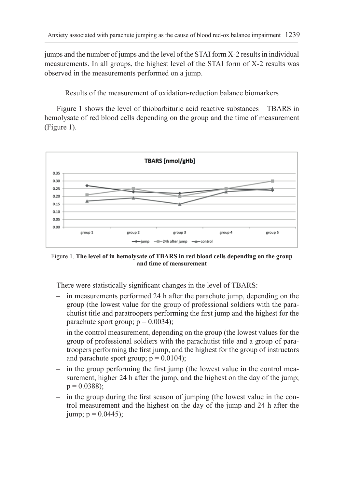jumps and the number of jumps and the level of the STAI form X-2 results in individual measurements. In all groups, the highest level of the STAI form of X-2 results was observed in the measurements performed on a jump.

Results of the measurement of oxidation-reduction balance biomarkers

Figure 1 shows the level of thiobarbituric acid reactive substances – TBARS in hemolysate of red blood cells depending on the group and the time of measurement (Figure 1).



Figure 1. **The level of in hemolysate of TBARS in red blood cells depending on the group and time of measurement**

There were statistically significant changes in the level of TBARS:

- in measurements performed 24 h after the parachute jump, depending on the group (the lowest value for the group of professional soldiers with the parachutist title and paratroopers performing the first jump and the highest for the parachute sport group;  $p = 0.0034$ );
- in the control measurement, depending on the group (the lowest values for the group of professional soldiers with the parachutist title and a group of paratroopers performing the first jump, and the highest for the group of instructors and parachute sport group;  $p = 0.0104$ );
- in the group performing the first jump (the lowest value in the control measurement, higher 24 h after the jump, and the highest on the day of the jump;  $p = 0.0388$ ;
- in the group during the first season of jumping (the lowest value in the control measurement and the highest on the day of the jump and 24 h after the jump;  $p = 0.0445$ );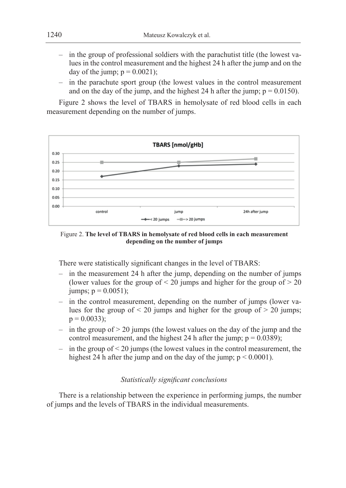- in the group of professional soldiers with the parachutist title (the lowest values in the control measurement and the highest 24 h after the jump and on the day of the jump;  $p = 0.0021$ );
- in the parachute sport group (the lowest values in the control measurement and on the day of the jump, and the highest 24 h after the jump;  $p = 0.0150$ ).

Figure 2 shows the level of TBARS in hemolysate of red blood cells in each measurement depending on the number of jumps.



Figure 2. **The level of TBARS in hemolysate of red blood cells in each measurement depending on the number of jumps**

There were statistically significant changes in the level of TBARS:

- in the measurement 24 h after the jump, depending on the number of jumps (lower values for the group of  $\leq 20$  jumps and higher for the group of  $> 20$ jumps;  $p = 0.0051$ );
- in the control measurement, depending on the number of jumps (lower values for the group of  $\leq 20$  jumps and higher for the group of  $\geq 20$  jumps;  $p = 0.0033$ ;
- $-$  in the group of  $> 20$  jumps (the lowest values on the day of the jump and the control measurement, and the highest 24 h after the jump;  $p = 0.0389$ );
- in the group of  $\leq$  20 jumps (the lowest values in the control measurement, the highest 24 h after the jump and on the day of the jump;  $p \le 0.0001$ ).

## *Statistically significant conclusions*

There is a relationship between the experience in performing jumps, the number of jumps and the levels of TBARS in the individual measurements.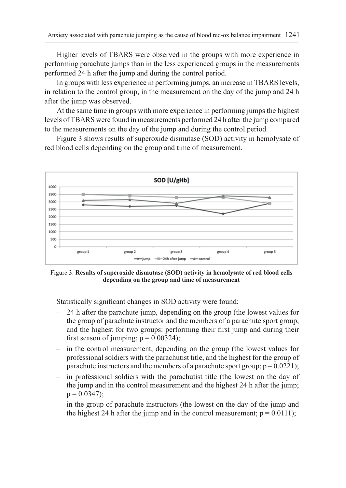Higher levels of TBARS were observed in the groups with more experience in performing parachute jumps than in the less experienced groups in the measurements performed 24 h after the jump and during the control period.

In groups with less experience in performing jumps, an increase in TBARS levels, in relation to the control group, in the measurement on the day of the jump and 24 h after the jump was observed.

At the same time in groups with more experience in performing jumps the highest levels of TBARS were found in measurements performed 24 h after the jump compared to the measurements on the day of the jump and during the control period.

Figure 3 shows results of superoxide dismutase (SOD) activity in hemolysate of red blood cells depending on the group and time of measurement.



Figure 3. **Results of superoxide dismutase (SOD) activity in hemolysate of red blood cells depending on the group and time of measurement**

Statistically significant changes in SOD activity were found:

- 24 h after the parachute jump, depending on the group (the lowest values for the group of parachute instructor and the members of a parachute sport group, and the highest for two groups: performing their first jump and during their first season of jumping;  $p = 0.00324$ );
- in the control measurement, depending on the group (the lowest values for professional soldiers with the parachutist title, and the highest for the group of parachute instructors and the members of a parachute sport group;  $p = 0.0221$ );
- in professional soldiers with the parachutist title (the lowest on the day of the jump and in the control measurement and the highest 24 h after the jump;  $p = 0.0347$ ;
- in the group of parachute instructors (the lowest on the day of the jump and the highest 24 h after the jump and in the control measurement;  $p = 0.0111$ ;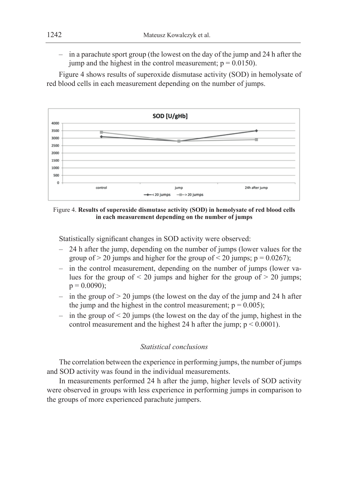– in a parachute sport group (the lowest on the day of the jump and 24 h after the jump and the highest in the control measurement;  $p = 0.0150$ ).

Figure 4 shows results of superoxide dismutase activity (SOD) in hemolysate of red blood cells in each measurement depending on the number of jumps.



Figure 4. **Results of superoxide dismutase activity (SOD) in hemolysate of red blood cells in each measurement depending on the number of jumps**

Statistically significant changes in SOD activity were observed:

- 24 h after the jump, depending on the number of jumps (lower values for the group of  $> 20$  jumps and higher for the group of  $< 20$  jumps; p = 0.0267);
- in the control measurement, depending on the number of jumps (lower values for the group of  $\leq$  20 jumps and higher for the group of  $>$  20 jumps;  $p = 0.0090$ ;
- $-$  in the group of  $> 20$  jumps (the lowest on the day of the jump and 24 h after the jump and the highest in the control measurement;  $p = 0.005$ );
- in the group of  $\leq$  20 jumps (the lowest on the day of the jump, highest in the control measurement and the highest 24 h after the jump;  $p < 0.0001$ ).

### *Statistical conclusions*

The correlation between the experience in performing jumps, the number of jumps and SOD activity was found in the individual measurements.

In measurements performed 24 h after the jump, higher levels of SOD activity were observed in groups with less experience in performing jumps in comparison to the groups of more experienced parachute jumpers.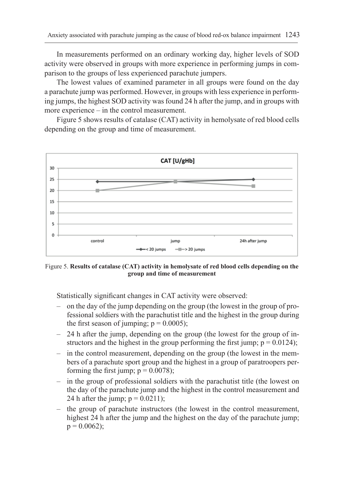In measurements performed on an ordinary working day, higher levels of SOD activity were observed in groups with more experience in performing jumps in comparison to the groups of less experienced parachute jumpers.

The lowest values of examined parameter in all groups were found on the day a parachute jump was performed. However, in groups with less experience in performing jumps, the highest SOD activity was found 24 h after the jump, and in groups with more experience – in the control measurement.

Figure 5 shows results of catalase (CAT) activity in hemolysate of red blood cells depending on the group and time of measurement.



Figure 5. **Results of catalase (CAT) activity in hemolysate of red blood cells depending on the group and time of measurement**

Statistically significant changes in CAT activity were observed:

- on the day of the jump depending on the group (the lowest in the group of professional soldiers with the parachutist title and the highest in the group during the first season of jumping;  $p = 0.0005$ );
- 24 h after the jump, depending on the group (the lowest for the group of instructors and the highest in the group performing the first jump;  $p = 0.0124$ );
- in the control measurement, depending on the group (the lowest in the members of a parachute sport group and the highest in a group of paratroopers performing the first jump;  $p = 0.0078$ );
- in the group of professional soldiers with the parachutist title (the lowest on the day of the parachute jump and the highest in the control measurement and 24 h after the jump;  $p = 0.0211$ );
- the group of parachute instructors (the lowest in the control measurement, highest 24 h after the jump and the highest on the day of the parachute jump;  $p = 0.0062$ ;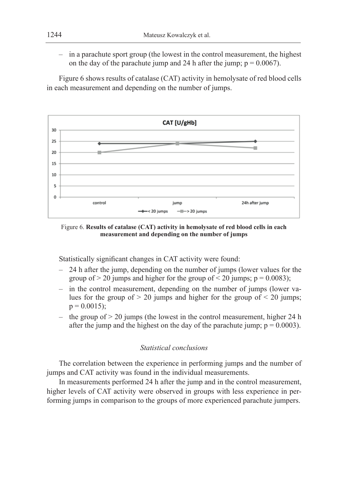– in a parachute sport group (the lowest in the control measurement, the highest on the day of the parachute jump and 24 h after the jump;  $p = 0.0067$ ).

Figure 6 shows results of catalase (CAT) activity in hemolysate of red blood cells in each measurement and depending on the number of jumps.



Figure 6. **Results of catalase (CAT) activity in hemolysate of red blood cells in each measurement and depending on the number of jumps**

Statistically significant changes in CAT activity were found:

- 24 h after the jump, depending on the number of jumps (lower values for the group of  $> 20$  jumps and higher for the group of  $< 20$  jumps; p = 0.0083);
- in the control measurement, depending on the number of jumps (lower values for the group of  $> 20$  jumps and higher for the group of  $< 20$  jumps;  $p = 0.0015$ ;
- the group of  $> 20$  jumps (the lowest in the control measurement, higher 24 h after the jump and the highest on the day of the parachute jump;  $p = 0.0003$ ).

## *Statistical conclusions*

The correlation between the experience in performing jumps and the number of jumps and CAT activity was found in the individual measurements.

In measurements performed 24 h after the jump and in the control measurement, higher levels of CAT activity were observed in groups with less experience in performing jumps in comparison to the groups of more experienced parachute jumpers.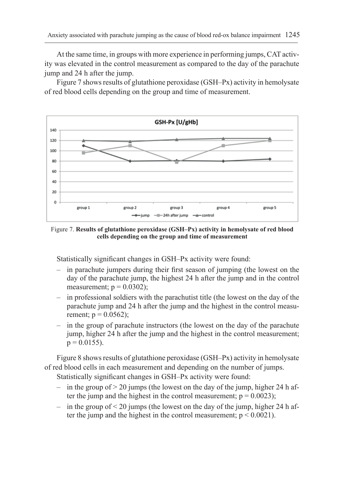At the same time, in groups with more experience in performing jumps, CAT activity was elevated in the control measurement as compared to the day of the parachute jump and 24 h after the jump.

Figure 7 shows results of glutathione peroxidase (GSH–Px) activity in hemolysate of red blood cells depending on the group and time of measurement.



Figure 7. **Results of glutathione peroxidase (GSH–Px) activity in hemolysate of red blood cells depending on the group and time of measurement**

Statistically significant changes in GSH–Px activity were found:

- in parachute jumpers during their first season of jumping (the lowest on the day of the parachute jump, the highest 24 h after the jump and in the control measurement;  $p = 0.0302$ );
- in professional soldiers with the parachutist title (the lowest on the day of the parachute jump and 24 h after the jump and the highest in the control measurement;  $p = 0.0562$ );
- in the group of parachute instructors (the lowest on the day of the parachute jump, higher 24 h after the jump and the highest in the control measurement;  $p = 0.0155$ ).

Figure 8 shows results of glutathione peroxidase (GSH–Px) activity in hemolysate of red blood cells in each measurement and depending on the number of jumps.

Statistically significant changes in GSH–Px activity were found:

- $-$  in the group of  $> 20$  jumps (the lowest on the day of the jump, higher 24 h after the jump and the highest in the control measurement;  $p = 0.0023$ );
- in the group of  $\leq$  20 jumps (the lowest on the day of the jump, higher 24 h after the jump and the highest in the control measurement;  $p < 0.0021$ ).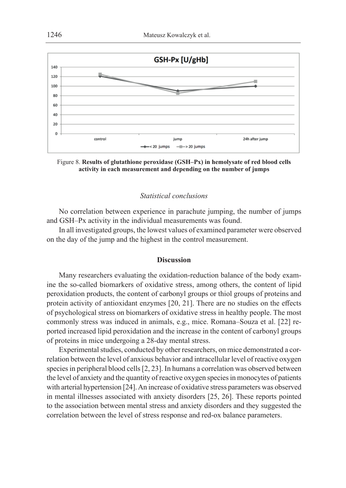

Figure 8. **Results of glutathione peroxidase (GSH–Px) in hemolysate of red blood cells activity in each measurement and depending on the number of jumps**

### *Statistical conclusions*

No correlation between experience in parachute jumping, the number of jumps and GSH–Px activity in the individual measurements was found.

In all investigated groups, the lowest values of examined parameter were observed on the day of the jump and the highest in the control measurement.

### **Discussion**

Many researchers evaluating the oxidation-reduction balance of the body examine the so-called biomarkers of oxidative stress, among others, the content of lipid peroxidation products, the content of carbonyl groups or thiol groups of proteins and protein activity of antioxidant enzymes [20, 21]. There are no studies on the effects of psychological stress on biomarkers of oxidative stress in healthy people. The most commonly stress was induced in animals, e.g., mice. Romana–Souza et al. [22] reported increased lipid peroxidation and the increase in the content of carbonyl groups of proteins in mice undergoing a 28-day mental stress.

Experimental studies, conducted by other researchers, on mice demonstrated a correlation between the level of anxious behavior and intracellular level of reactive oxygen species in peripheral blood cells [2, 23]. In humans a correlation was observed between the level of anxiety and the quantity of reactive oxygen species in monocytes of patients with arterial hypertension [24]. An increase of oxidative stress parameters was observed in mental illnesses associated with anxiety disorders [25, 26]. These reports pointed to the association between mental stress and anxiety disorders and they suggested the correlation between the level of stress response and red-ox balance parameters.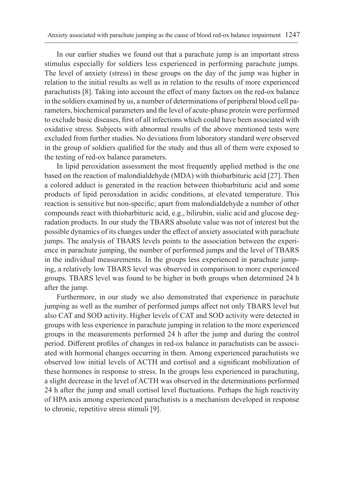In our earlier studies we found out that a parachute jump is an important stress stimulus especially for soldiers less experienced in performing parachute jumps. The level of anxiety (stress) in these groups on the day of the jump was higher in relation to the initial results as well as in relation to the results of more experienced parachutists [8]. Taking into account the effect of many factors on the red-ox balance in the soldiers examined by us, a number of determinations of peripheral blood cell parameters, biochemical parameters and the level of acute-phase protein were performed to exclude basic diseases, first of all infections which could have been associated with oxidative stress. Subjects with abnormal results of the above mentioned tests were excluded from further studies. No deviations from laboratory standard were observed in the group of soldiers qualified for the study and thus all of them were exposed to the testing of red-ox balance parameters.

In lipid peroxidation assessment the most frequently applied method is the one based on the reaction of malondialdehyde (MDA) with thiobarbituric acid [27]. Then a colored adduct is generated in the reaction between thiobarbituric acid and some products of lipid peroxidation in acidic conditions, at elevated temperature. This reaction is sensitive but non-specific; apart from malondialdehyde a number of other compounds react with thiobarbituric acid, e.g., bilirubin, sialic acid and glucose degradation products. In our study the TBARS absolute value was not of interest but the possible dynamics of its changes under the effect of anxiety associated with parachute jumps. The analysis of TBARS levels points to the association between the experience in parachute jumping, the number of performed jumps and the level of TBARS in the individual measurements. In the groups less experienced in parachute jumping, a relatively low TBARS level was observed in comparison to more experienced groups. TBARS level was found to be higher in both groups when determined 24 h after the jump.

Furthermore, in our study we also demonstrated that experience in parachute jumping as well as the number of performed jumps affect not only TBARS level but also CAT and SOD activity. Higher levels of CAT and SOD activity were detected in groups with less experience in parachute jumping in relation to the more experienced groups in the measurements performed 24 h after the jump and during the control period. Different profiles of changes in red-ox balance in parachutists can be associated with hormonal changes occurring in them. Among experienced parachutists we observed low initial levels of ACTH and cortisol and a significant mobilization of these hormones in response to stress. In the groups less experienced in parachuting, a slight decrease in the level of ACTH was observed in the determinations performed 24 h after the jump and small cortisol level fluctuations. Perhaps the high reactivity of HPA axis among experienced parachutists is a mechanism developed in response to chronic, repetitive stress stimuli [9].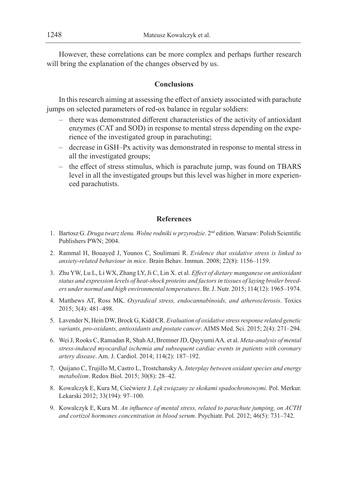However, these correlations can be more complex and perhaps further research will bring the explanation of the changes observed by us.

### **Conclusions**

In this research aiming at assessing the effect of anxiety associated with parachute jumps on selected parameters of red-ox balance in regular soldiers:

- there was demonstrated different characteristics of the activity of antioxidant enzymes (CAT and SOD) in response to mental stress depending on the experience of the investigated group in parachuting;
- decrease in GSH–Px activity was demonstrated in response to mental stress in all the investigated groups;
- the effect of stress stimulus, which is parachute jump, was found on TBARS level in all the investigated groups but this level was higher in more experienced parachutists.

### **References**

- 1. Bartosz G. *Druga twarz tlenu. Wolne rodniki w przyrodzie*. 2nd edition. Warsaw: Polish Scientific Publishers PWN; 2004.
- 2. Rammal H, Bouayed J, Younos C, Soulimani R. *Evidence that oxidative stress is linked to anxiety-related behaviour in mice*. Brain Behav. Immun. 2008; 22(8): 1156–1159.
- 3. Zhu YW, Lu L, Li WX, Zhang LY, Ji C, Lin X. et al. *Effect of dietary manganese on antioxidant status and expression levels of heat-shock proteins and factors in tissues of laying broiler breeders under normal and high environmental temperatures*. Br. J. Nutr. 2015; 114(12): 1965–1974.
- 4. Matthews AT, Ross MK. *Oxyradical stress, endocannabinoids, and atherosclerosis*. Toxics 2015; 3(4): 481–498.
- 5. Lavender N, Hein DW, Brock G, Kidd CR. *Evaluation of oxidative stress response related genetic variants, pro-oxidants, antioxidants and postate cancer*. AIMS Med. Sci. 2015; 2(4): 271–294.
- 6. Wei J, Rooks C, Ramadan R, Shah AJ, Bremner JD, Quyyumi AA. et al. *Meta-analysis of mental stress-induced myocardial ischemia and subsequent cardiac events in patients with coronary artery disease*. Am. J. Cardiol. 2014; 114(2): 187–192.
- 7. Quijano C, Trujillo M, Castro L, Trostchansky A. *Interplay between oxidant species and energy metabolism*. Redox Biol. 2015; 30(8): 28–42.
- 8. Kowalczyk E, Kura M, Ciećwierz J. *Lęk związany ze skokami spadochronowymi*. Pol. Merkur. Lekarski 2012; 33(194): 97–100.
- 9. Kowalczyk E, Kura M. *An influence of mental stress, related to parachute jumping, on ACTH and cortizol hormones concentration in blood serum*. Psychiatr. Pol. 2012; 46(5): 731–742.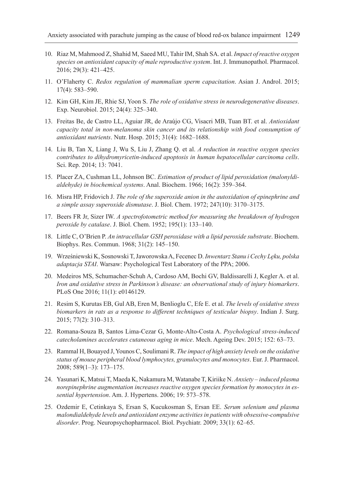- 10. Riaz M, Mahmood Z, Shahid M, Saeed MU, Tahir IM, Shah SA. et al. *Impact of reactive oxygen species on antioxidant capacity of male reproductive system*. Int. J. Immunopathol. Pharmacol. 2016; 29(3): 421–425.
- 11. O'Flaherty C. *Redox regulation of mammalian sperm capacitation*. Asian J. Androl. 2015; 17(4): 583–590.
- 12. Kim GH, Kim JE, Rhie SJ, Yoon S. *The role of oxidative stress in neurodegenerative diseases*. Exp. Neurobiol. 2015; 24(4): 325–340.
- 13. Freitas Be, de Castro LL, Aguiar JR, de Araújo CG, Visacri MB, Tuan BT. et al. *Antioxidant capacity total in non-melanoma skin cancer and its relationship with food consumption of antioxidant nutrients*. Nutr. Hosp. 2015; 31(4): 1682–1688.
- 14. Liu B, Tan X, Liang J, Wu S, Liu J, Zhang Q. et al. *A reduction in reactive oxygen species contributes to dihydromyricetin-induced apoptosis in human hepatocellular carcinoma cells*. Sci. Rep. 2014; 13: 7041.
- 15. Placer ZA, Cushman LL, Johnson BC. *Estimation of product of lipid peroxidation (malonyldialdehyde) in biochemical systems*. Anal. Biochem. 1966; 16(2): 359–364.
- 16. Misra HP, Fridovich J. *The role of the superoxide anion in the autoxidation of epinephrine and a simple assay superoxide dismutase*. J. Biol. Chem. 1972; 247(10): 3170–3175.
- 17. Beers FR Jr, Sizer IW. *A spectrofotometric method for measuring the breakdown of hydrogen peroxide by catalase*. J. Biol. Chem. 1952; 195(1): 133–140.
- 18. Little C, O'Brien P. *An intracellular GSH peroxidase with a lipid peroxide substrate*. Biochem. Biophys. Res. Commun. 1968; 31(2): 145–150.
- 19. Wrześniewski K, Sosnowski T, Jaworowska A, Fecenec D. *Inwentarz Stanu i Cechy Lęku, polska adaptacja STAI*. Warsaw: Psychological Test Laboratory of the PPA; 2006.
- 20. Medeiros MS, Schumacher-Schuh A, Cardoso AM, Bochi GV, Baldissarelli J, Kegler A. et al. *Iron and oxidative stress in Parkinson's disease: an observational study of injury biomarkers*. PLoS One 2016; 11(1): e0146129.
- 21. Resim S, Kurutas EB, Gul AB, Eren M, Benlioglu C, Efe E. et al. *The levels of oxidative stress biomarkers in rats as a response to different techniques of testicular biopsy*. Indian J. Surg. 2015; 77(2): 310–313.
- 22. Romana-Souza B, Santos Lima-Cezar G, Monte-Alto-Costa A. *Psychological stress-induced catecholamines accelerates cutaneous aging in mice*. Mech. Ageing Dev. 2015; 152: 63–73.
- 23. Rammal H, Bouayed J, Younos C, Soulimani R. *The impact of high anxiety levels on the oxidative status of mouse peripheral blood lymphocytes, granulocytes and monocytes*. Eur. J. Pharmacol. 2008; 589(1–3): 173–175.
- 24. Yasunari K, Matsui T, Maeda K, Nakamura M, Watanabe T, Kiriike N. *Anxiety induced plasma norepinephrine augmentation increases reactive oxygen species formation by monocytes in essential hypertension*. Am. J. Hypertens. 2006; 19: 573–578.
- 25. Ozdemir E, Cetinkaya S, Ersan S, Kucukosman S, Ersan EE. *Serum selenium and plasma malondialdehyde levels and antioxidant enzyme activities in patients with obsessive-compulsive disorder*. Prog. Neuropsychopharmacol. Biol. Psychiatr. 2009; 33(1): 62–65.